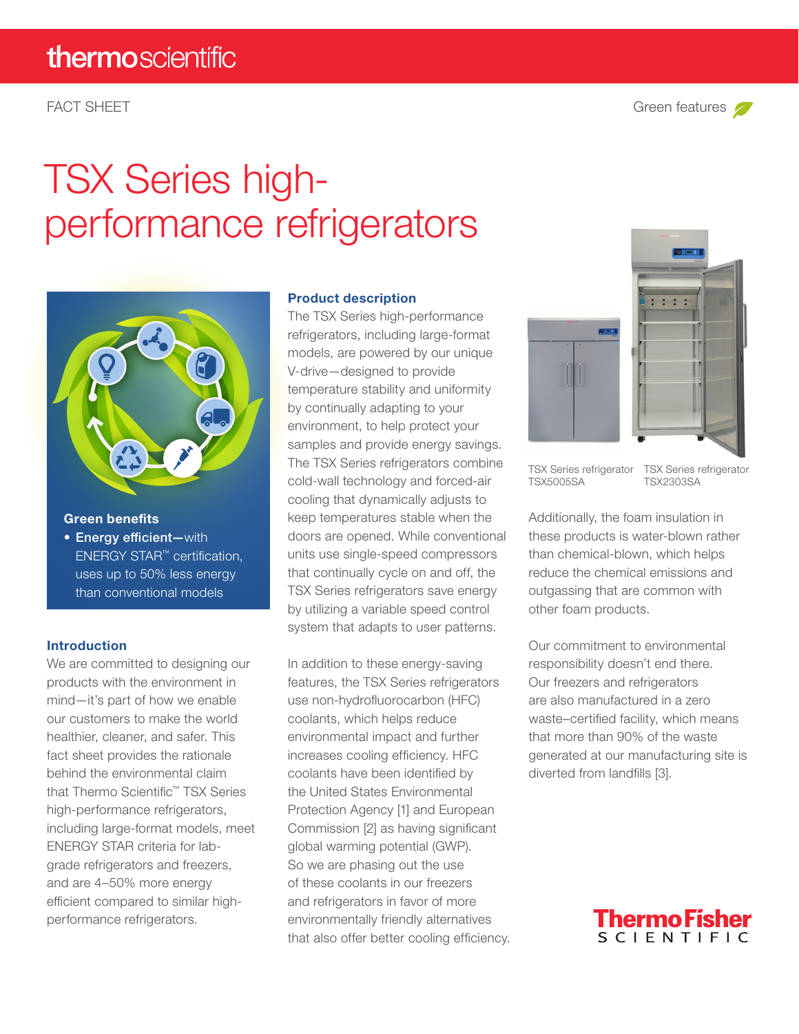# TSX Series highperformance refrigerators



### Green benefits

• Energy efficient-with ENERGY STAR™ certification, uses up to 50% less energy than conventional models

#### Introduction

We are committed to designing our products with the environment in mind—it's part of how we enable our customers to make the world healthier, cleaner, and safer. This fact sheet provides the rationale behind the environmental claim that Thermo Scientific™ TSX Series high-performance refrigerators, including large-format models, meet ENERGY STAR criteria for labgrade refrigerators and freezers, and are 4–50% more energy efficient compared to similar highperformance refrigerators.

#### Product description

The TSX Series high-performance refrigerators, including large-format models, are powered by our unique V-drive—designed to provide temperature stability and uniformity by continually adapting to your environment, to help protect your samples and provide energy savings. The TSX Series refrigerators combine cold-wall technology and forced-air cooling that dynamically adjusts to keep temperatures stable when the doors are opened. While conventional units use single-speed compressors that continually cycle on and off, the TSX Series refrigerators save energy by utilizing a variable speed control system that adapts to user patterns.

In addition to these energy-saving features, the TSX Series refrigerators use non-hydrofluorocarbon (HFC) coolants, which helps reduce environmental impact and further increases cooling efficiency. HFC coolants have been identified by the United States Environmental Protection Agency [1] and European Commission [2] as having significant global warming potential (GWP). So we are phasing out the use of these coolants in our freezers and refrigerators in favor of more environmentally friendly alternatives that also offer better cooling efficiency.





TSX Series refrigerator TSX5005SA

TSX Series refrigerator TSX2303SA

Additionally, the foam insulation in these products is water-blown rather than chemical-blown, which helps reduce the chemical emissions and outgassing that are common with other foam products.

Our commitment to environmental responsibility doesn't end there. Our freezers and refrigerators are also manufactured in a zero waste–certified facility, which means that more than 90% of the waste generated at our manufacturing site is diverted from landfills [3].